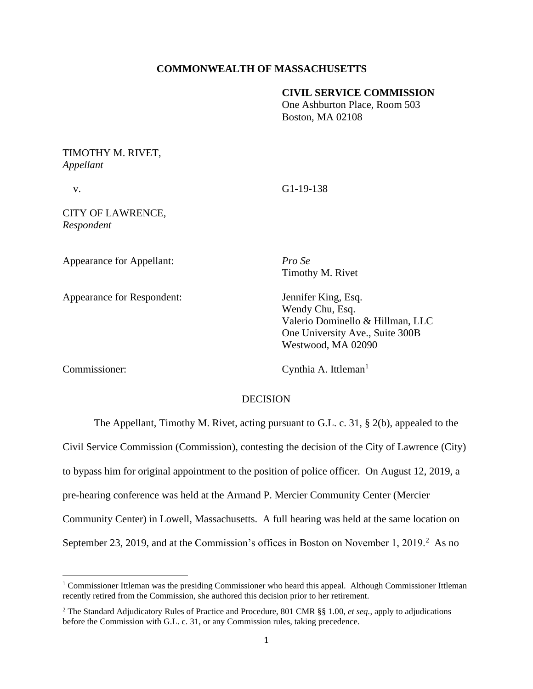### **COMMONWEALTH OF MASSACHUSETTS**

#### **CIVIL SERVICE COMMISSION**

One Ashburton Place, Room 503 Boston, MA 02108

# TIMOTHY M. RIVET, *Appellant*

v. G1-19-138

CITY OF LAWRENCE, *Respondent*

Appearance for Appellant: *Pro Se*

Appearance for Respondent: Jennifer King, Esq.

Timothy M. Rivet

Wendy Chu, Esq. Valerio Dominello & Hillman, LLC One University Ave., Suite 300B Westwood, MA 02090

Cynthia A. Ittleman<sup>1</sup>

# **DECISION**

The Appellant, Timothy M. Rivet, acting pursuant to G.L. c. 31, § 2(b), appealed to the Civil Service Commission (Commission), contesting the decision of the City of Lawrence (City) to bypass him for original appointment to the position of police officer. On August 12, 2019, a pre-hearing conference was held at the Armand P. Mercier Community Center (Mercier Community Center) in Lowell, Massachusetts. A full hearing was held at the same location on September 23, 2019, and at the Commission's offices in Boston on November 1, 2019.<sup>2</sup> As no

<sup>1</sup> Commissioner Ittleman was the presiding Commissioner who heard this appeal. Although Commissioner Ittleman recently retired from the Commission, she authored this decision prior to her retirement.

<sup>2</sup> The Standard Adjudicatory Rules of Practice and Procedure, 801 CMR §§ 1.00, *et seq.*, apply to adjudications before the Commission with G.L. c. 31, or any Commission rules, taking precedence.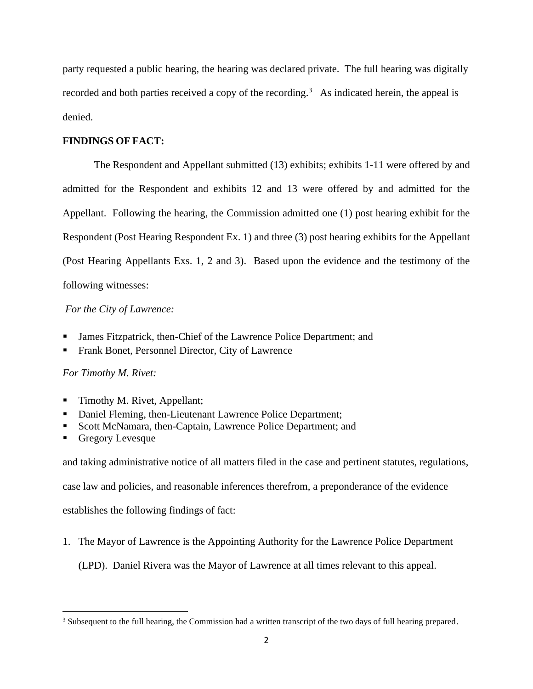party requested a public hearing, the hearing was declared private. The full hearing was digitally recorded and both parties received a copy of the recording.<sup>3</sup> As indicated herein, the appeal is denied.

### **FINDINGS OF FACT:**

 The Respondent and Appellant submitted (13) exhibits; exhibits 1-11 were offered by and admitted for the Respondent and exhibits 12 and 13 were offered by and admitted for the Appellant. Following the hearing, the Commission admitted one (1) post hearing exhibit for the Respondent (Post Hearing Respondent Ex. 1) and three (3) post hearing exhibits for the Appellant (Post Hearing Appellants Exs. 1, 2 and 3). Based upon the evidence and the testimony of the following witnesses:

### *For the City of Lawrence:*

- James Fitzpatrick, then-Chief of the Lawrence Police Department; and
- Frank Bonet, Personnel Director, City of Lawrence

### *For Timothy M. Rivet:*

- Timothy M. Rivet, Appellant;
- Daniel Fleming, then-Lieutenant Lawrence Police Department;
- Scott McNamara, then-Captain, Lawrence Police Department; and
- Gregory Levesque

and taking administrative notice of all matters filed in the case and pertinent statutes, regulations,

case law and policies, and reasonable inferences therefrom, a preponderance of the evidence

establishes the following findings of fact:

1. The Mayor of Lawrence is the Appointing Authority for the Lawrence Police Department

(LPD). Daniel Rivera was the Mayor of Lawrence at all times relevant to this appeal.

<sup>&</sup>lt;sup>3</sup> Subsequent to the full hearing, the Commission had a written transcript of the two days of full hearing prepared.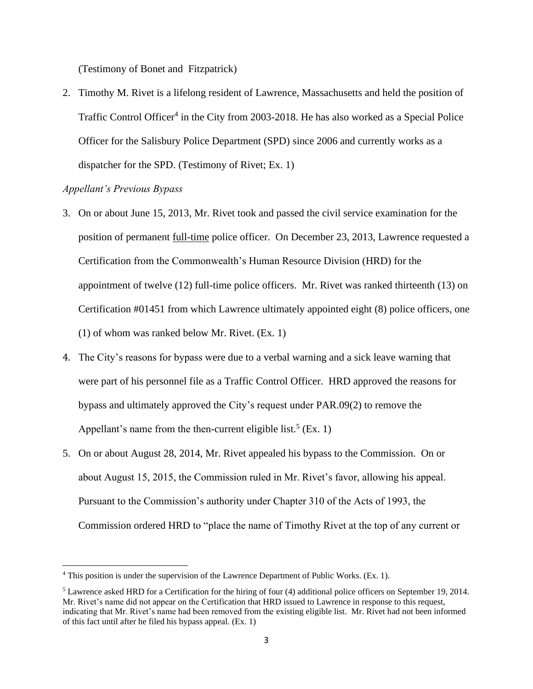(Testimony of Bonet and Fitzpatrick)

2. Timothy M. Rivet is a lifelong resident of Lawrence, Massachusetts and held the position of Traffic Control Officer<sup>4</sup> in the City from 2003-2018. He has also worked as a Special Police Officer for the Salisbury Police Department (SPD) since 2006 and currently works as a dispatcher for the SPD. (Testimony of Rivet; Ex. 1)

## *Appellant's Previous Bypass*

- 3. On or about June 15, 2013, Mr. Rivet took and passed the civil service examination for the position of permanent full-time police officer. On December 23, 2013, Lawrence requested a Certification from the Commonwealth's Human Resource Division (HRD) for the appointment of twelve (12) full-time police officers. Mr. Rivet was ranked thirteenth (13) on Certification #01451 from which Lawrence ultimately appointed eight (8) police officers, one (1) of whom was ranked below Mr. Rivet. (Ex. 1)
- 4. The City's reasons for bypass were due to a verbal warning and a sick leave warning that were part of his personnel file as a Traffic Control Officer. HRD approved the reasons for bypass and ultimately approved the City's request under PAR.09(2) to remove the Appellant's name from the then-current eligible list.<sup>5</sup> (Ex. 1)
- 5. On or about August 28, 2014, Mr. Rivet appealed his bypass to the Commission. On or about August 15, 2015, the Commission ruled in Mr. Rivet's favor, allowing his appeal. Pursuant to the Commission's authority under Chapter 310 of the Acts of 1993, the Commission ordered HRD to "place the name of Timothy Rivet at the top of any current or

<sup>4</sup> This position is under the supervision of the Lawrence Department of Public Works. (Ex. 1).

 $<sup>5</sup>$  Lawrence asked HRD for a Certification for the hiring of four (4) additional police officers on September 19, 2014.</sup> Mr. Rivet's name did not appear on the Certification that HRD issued to Lawrence in response to this request, indicating that Mr. Rivet's name had been removed from the existing eligible list. Mr. Rivet had not been informed of this fact until after he filed his bypass appeal. (Ex. 1)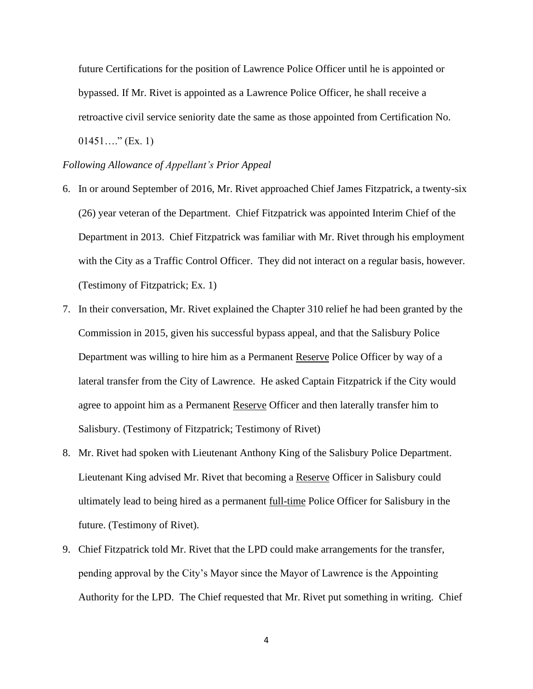future Certifications for the position of Lawrence Police Officer until he is appointed or bypassed. If Mr. Rivet is appointed as a Lawrence Police Officer, he shall receive a retroactive civil service seniority date the same as those appointed from Certification No.  $01451...$ " (Ex. 1)

#### *Following Allowance of Appellant's Prior Appeal*

- 6. In or around September of 2016, Mr. Rivet approached Chief James Fitzpatrick, a twenty-six (26) year veteran of the Department. Chief Fitzpatrick was appointed Interim Chief of the Department in 2013. Chief Fitzpatrick was familiar with Mr. Rivet through his employment with the City as a Traffic Control Officer. They did not interact on a regular basis, however. (Testimony of Fitzpatrick; Ex. 1)
- 7. In their conversation, Mr. Rivet explained the Chapter 310 relief he had been granted by the Commission in 2015, given his successful bypass appeal, and that the Salisbury Police Department was willing to hire him as a Permanent Reserve Police Officer by way of a lateral transfer from the City of Lawrence. He asked Captain Fitzpatrick if the City would agree to appoint him as a Permanent Reserve Officer and then laterally transfer him to Salisbury. (Testimony of Fitzpatrick; Testimony of Rivet)
- 8. Mr. Rivet had spoken with Lieutenant Anthony King of the Salisbury Police Department. Lieutenant King advised Mr. Rivet that becoming a Reserve Officer in Salisbury could ultimately lead to being hired as a permanent full-time Police Officer for Salisbury in the future. (Testimony of Rivet).
- 9. Chief Fitzpatrick told Mr. Rivet that the LPD could make arrangements for the transfer, pending approval by the City's Mayor since the Mayor of Lawrence is the Appointing Authority for the LPD. The Chief requested that Mr. Rivet put something in writing. Chief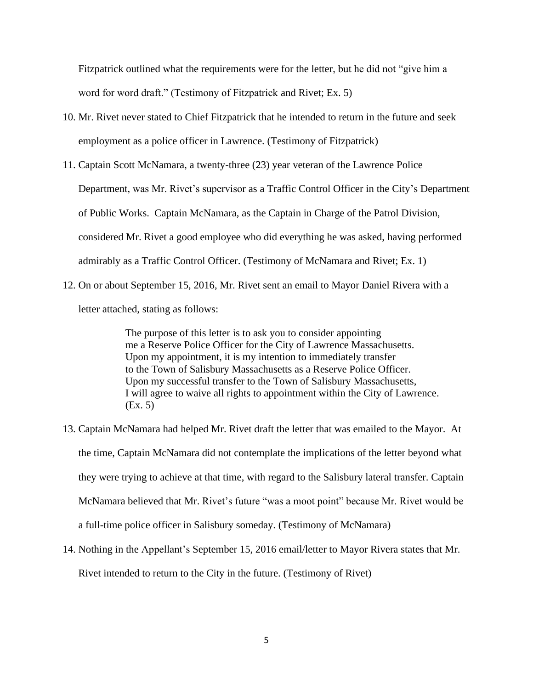Fitzpatrick outlined what the requirements were for the letter, but he did not "give him a word for word draft." (Testimony of Fitzpatrick and Rivet; Ex. 5)

- 10. Mr. Rivet never stated to Chief Fitzpatrick that he intended to return in the future and seek employment as a police officer in Lawrence. (Testimony of Fitzpatrick)
- 11. Captain Scott McNamara, a twenty-three (23) year veteran of the Lawrence Police Department, was Mr. Rivet's supervisor as a Traffic Control Officer in the City's Department of Public Works. Captain McNamara, as the Captain in Charge of the Patrol Division, considered Mr. Rivet a good employee who did everything he was asked, having performed admirably as a Traffic Control Officer. (Testimony of McNamara and Rivet; Ex. 1)
- 12. On or about September 15, 2016, Mr. Rivet sent an email to Mayor Daniel Rivera with a letter attached, stating as follows:

The purpose of this letter is to ask you to consider appointing me a Reserve Police Officer for the City of Lawrence Massachusetts. Upon my appointment, it is my intention to immediately transfer to the Town of Salisbury Massachusetts as a Reserve Police Officer. Upon my successful transfer to the Town of Salisbury Massachusetts, I will agree to waive all rights to appointment within the City of Lawrence. (Ex. 5)

- 13. Captain McNamara had helped Mr. Rivet draft the letter that was emailed to the Mayor. At the time, Captain McNamara did not contemplate the implications of the letter beyond what they were trying to achieve at that time, with regard to the Salisbury lateral transfer. Captain McNamara believed that Mr. Rivet's future "was a moot point" because Mr. Rivet would be a full-time police officer in Salisbury someday. (Testimony of McNamara)
- 14. Nothing in the Appellant's September 15, 2016 email/letter to Mayor Rivera states that Mr. Rivet intended to return to the City in the future. (Testimony of Rivet)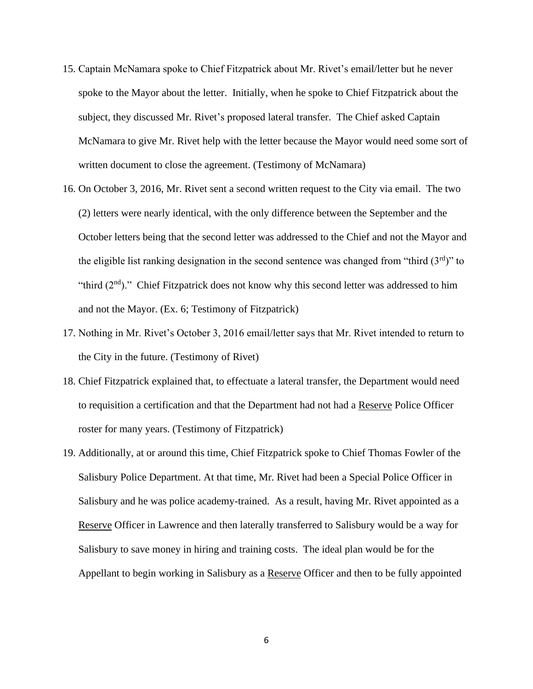- 15. Captain McNamara spoke to Chief Fitzpatrick about Mr. Rivet's email/letter but he never spoke to the Mayor about the letter. Initially, when he spoke to Chief Fitzpatrick about the subject, they discussed Mr. Rivet's proposed lateral transfer. The Chief asked Captain McNamara to give Mr. Rivet help with the letter because the Mayor would need some sort of written document to close the agreement. (Testimony of McNamara)
- 16. On October 3, 2016, Mr. Rivet sent a second written request to the City via email. The two (2) letters were nearly identical, with the only difference between the September and the October letters being that the second letter was addressed to the Chief and not the Mayor and the eligible list ranking designation in the second sentence was changed from "third  $(3<sup>rd</sup>)$ " to "third  $(2<sup>nd</sup>)$ ." Chief Fitzpatrick does not know why this second letter was addressed to him and not the Mayor. (Ex. 6; Testimony of Fitzpatrick)
- 17. Nothing in Mr. Rivet's October 3, 2016 email/letter says that Mr. Rivet intended to return to the City in the future. (Testimony of Rivet)
- 18. Chief Fitzpatrick explained that, to effectuate a lateral transfer, the Department would need to requisition a certification and that the Department had not had a Reserve Police Officer roster for many years. (Testimony of Fitzpatrick)
- 19. Additionally, at or around this time, Chief Fitzpatrick spoke to Chief Thomas Fowler of the Salisbury Police Department. At that time, Mr. Rivet had been a Special Police Officer in Salisbury and he was police academy-trained. As a result, having Mr. Rivet appointed as a Reserve Officer in Lawrence and then laterally transferred to Salisbury would be a way for Salisbury to save money in hiring and training costs. The ideal plan would be for the Appellant to begin working in Salisbury as a Reserve Officer and then to be fully appointed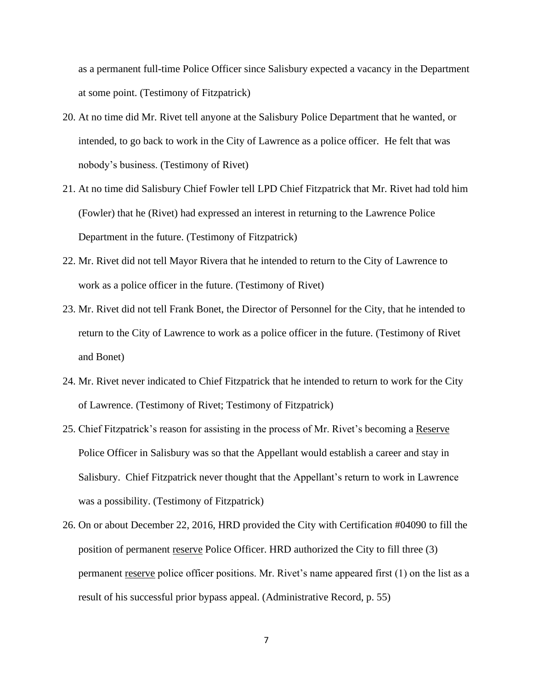as a permanent full-time Police Officer since Salisbury expected a vacancy in the Department at some point. (Testimony of Fitzpatrick)

- 20. At no time did Mr. Rivet tell anyone at the Salisbury Police Department that he wanted, or intended, to go back to work in the City of Lawrence as a police officer. He felt that was nobody's business. (Testimony of Rivet)
- 21. At no time did Salisbury Chief Fowler tell LPD Chief Fitzpatrick that Mr. Rivet had told him (Fowler) that he (Rivet) had expressed an interest in returning to the Lawrence Police Department in the future. (Testimony of Fitzpatrick)
- 22. Mr. Rivet did not tell Mayor Rivera that he intended to return to the City of Lawrence to work as a police officer in the future. (Testimony of Rivet)
- 23. Mr. Rivet did not tell Frank Bonet, the Director of Personnel for the City, that he intended to return to the City of Lawrence to work as a police officer in the future. (Testimony of Rivet and Bonet)
- 24. Mr. Rivet never indicated to Chief Fitzpatrick that he intended to return to work for the City of Lawrence. (Testimony of Rivet; Testimony of Fitzpatrick)
- 25. Chief Fitzpatrick's reason for assisting in the process of Mr. Rivet's becoming a Reserve Police Officer in Salisbury was so that the Appellant would establish a career and stay in Salisbury. Chief Fitzpatrick never thought that the Appellant's return to work in Lawrence was a possibility. (Testimony of Fitzpatrick)
- 26. On or about December 22, 2016, HRD provided the City with Certification #04090 to fill the position of permanent reserve Police Officer. HRD authorized the City to fill three (3) permanent reserve police officer positions. Mr. Rivet's name appeared first (1) on the list as a result of his successful prior bypass appeal. (Administrative Record, p. 55)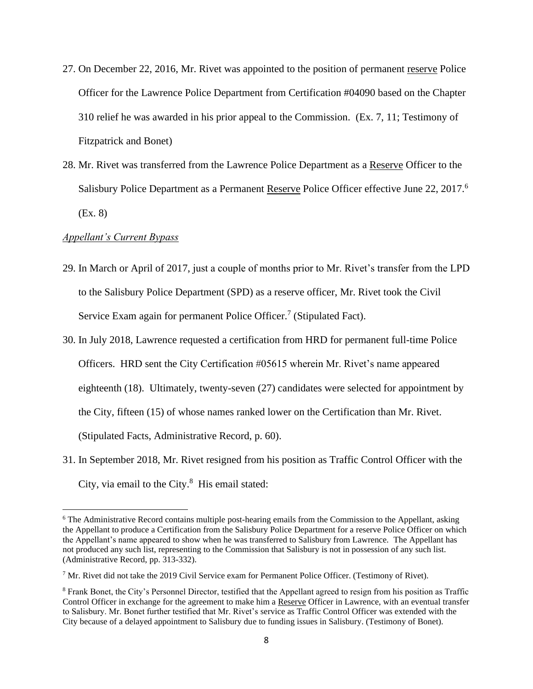- 27. On December 22, 2016, Mr. Rivet was appointed to the position of permanent reserve Police Officer for the Lawrence Police Department from Certification #04090 based on the Chapter 310 relief he was awarded in his prior appeal to the Commission. (Ex. 7, 11; Testimony of Fitzpatrick and Bonet)
- 28. Mr. Rivet was transferred from the Lawrence Police Department as a Reserve Officer to the Salisbury Police Department as a Permanent Reserve Police Officer effective June 22, 2017.<sup>6</sup> (Ex. 8)

#### *Appellant's Current Bypass*

- 29. In March or April of 2017, just a couple of months prior to Mr. Rivet's transfer from the LPD to the Salisbury Police Department (SPD) as a reserve officer, Mr. Rivet took the Civil Service Exam again for permanent Police Officer.<sup>7</sup> (Stipulated Fact).
- 30. In July 2018, Lawrence requested a certification from HRD for permanent full-time Police Officers. HRD sent the City Certification #05615 wherein Mr. Rivet's name appeared eighteenth (18). Ultimately, twenty-seven (27) candidates were selected for appointment by the City, fifteen (15) of whose names ranked lower on the Certification than Mr. Rivet. (Stipulated Facts, Administrative Record, p. 60).
- 31. In September 2018, Mr. Rivet resigned from his position as Traffic Control Officer with the City, via email to the City.<sup>8</sup> His email stated:

<sup>6</sup> The Administrative Record contains multiple post-hearing emails from the Commission to the Appellant, asking the Appellant to produce a Certification from the Salisbury Police Department for a reserve Police Officer on which the Appellant's name appeared to show when he was transferred to Salisbury from Lawrence. The Appellant has not produced any such list, representing to the Commission that Salisbury is not in possession of any such list. (Administrative Record, pp. 313-332).

<sup>7</sup> Mr. Rivet did not take the 2019 Civil Service exam for Permanent Police Officer. (Testimony of Rivet).

<sup>8</sup> Frank Bonet, the City's Personnel Director, testified that the Appellant agreed to resign from his position as Traffic Control Officer in exchange for the agreement to make him a Reserve Officer in Lawrence, with an eventual transfer to Salisbury. Mr. Bonet further testified that Mr. Rivet's service as Traffic Control Officer was extended with the City because of a delayed appointment to Salisbury due to funding issues in Salisbury. (Testimony of Bonet).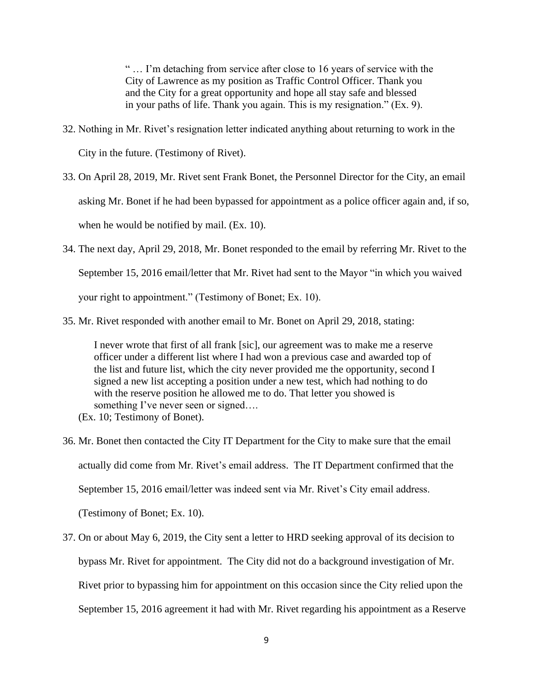" … I'm detaching from service after close to 16 years of service with the City of Lawrence as my position as Traffic Control Officer. Thank you and the City for a great opportunity and hope all stay safe and blessed in your paths of life. Thank you again. This is my resignation." (Ex. 9).

- 32. Nothing in Mr. Rivet's resignation letter indicated anything about returning to work in the City in the future. (Testimony of Rivet).
- 33. On April 28, 2019, Mr. Rivet sent Frank Bonet, the Personnel Director for the City, an email asking Mr. Bonet if he had been bypassed for appointment as a police officer again and, if so, when he would be notified by mail. (Ex. 10).
- 34. The next day, April 29, 2018, Mr. Bonet responded to the email by referring Mr. Rivet to the September 15, 2016 email/letter that Mr. Rivet had sent to the Mayor "in which you waived your right to appointment." (Testimony of Bonet; Ex. 10).
- 35. Mr. Rivet responded with another email to Mr. Bonet on April 29, 2018, stating:

I never wrote that first of all frank [sic], our agreement was to make me a reserve officer under a different list where I had won a previous case and awarded top of the list and future list, which the city never provided me the opportunity, second I signed a new list accepting a position under a new test, which had nothing to do with the reserve position he allowed me to do. That letter you showed is something I've never seen or signed....

- (Ex. 10; Testimony of Bonet).
- 36. Mr. Bonet then contacted the City IT Department for the City to make sure that the email actually did come from Mr. Rivet's email address. The IT Department confirmed that the September 15, 2016 email/letter was indeed sent via Mr. Rivet's City email address. (Testimony of Bonet; Ex. 10).
- 37. On or about May 6, 2019, the City sent a letter to HRD seeking approval of its decision to bypass Mr. Rivet for appointment. The City did not do a background investigation of Mr. Rivet prior to bypassing him for appointment on this occasion since the City relied upon the September 15, 2016 agreement it had with Mr. Rivet regarding his appointment as a Reserve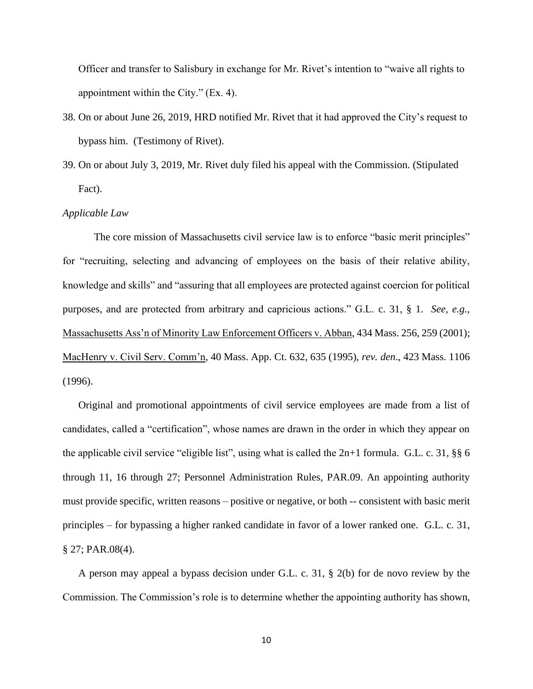Officer and transfer to Salisbury in exchange for Mr. Rivet's intention to "waive all rights to appointment within the City." (Ex. 4).

- 38. On or about June 26, 2019, HRD notified Mr. Rivet that it had approved the City's request to bypass him. (Testimony of Rivet).
- 39. On or about July 3, 2019, Mr. Rivet duly filed his appeal with the Commission. (Stipulated Fact).

#### *Applicable Law*

The core mission of Massachusetts civil service law is to enforce "basic merit principles" for "recruiting, selecting and advancing of employees on the basis of their relative ability, knowledge and skills" and "assuring that all employees are protected against coercion for political purposes, and are protected from arbitrary and capricious actions." G.L. c. 31, § 1. *See, e.g.,* Massachusetts Ass'n of Minority Law Enforcement Officers v. Abban, 434 Mass. 256, 259 (2001); MacHenry v. Civil Serv. Comm'n, 40 Mass. App. Ct. 632, 635 (1995), *rev. den*., 423 Mass. 1106 (1996).

Original and promotional appointments of civil service employees are made from a list of candidates, called a "certification", whose names are drawn in the order in which they appear on the applicable civil service "eligible list", using what is called the 2n+1 formula. G.L. c. 31, §§ 6 through 11, 16 through 27; Personnel Administration Rules, PAR.09. An appointing authority must provide specific, written reasons – positive or negative, or both -- consistent with basic merit principles – for bypassing a higher ranked candidate in favor of a lower ranked one. G.L. c. 31, § 27; PAR.08(4).

A person may appeal a bypass decision under G.L. c. 31, § 2(b) for de novo review by the Commission. The Commission's role is to determine whether the appointing authority has shown,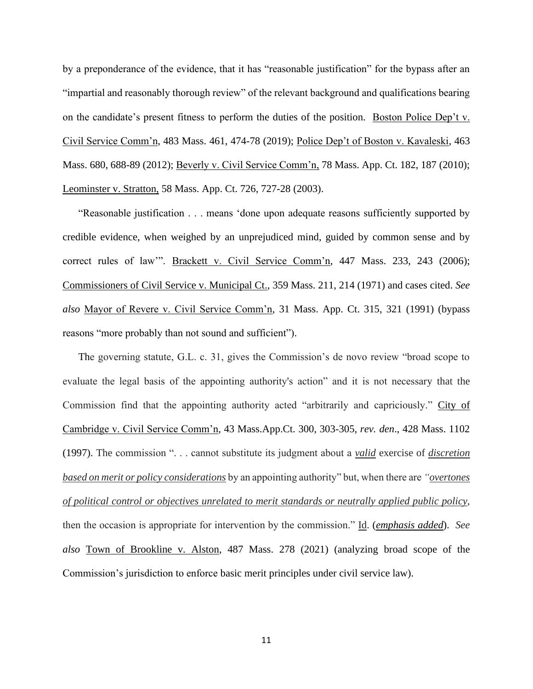by a preponderance of the evidence, that it has "reasonable justification" for the bypass after an "impartial and reasonably thorough review" of the relevant background and qualifications bearing on the candidate's present fitness to perform the duties of the position. Boston Police Dep't v. Civil Service Comm'n, 483 Mass. 461, 474-78 (2019); Police Dep't of Boston v. Kavaleski, 463 Mass. 680, 688-89 (2012); Beverly v. Civil Service Comm'n, 78 Mass. App. Ct. 182, 187 (2010); Leominster v. Stratton, 58 Mass. App. Ct. 726, 727-28 (2003).

"Reasonable justification . . . means 'done upon adequate reasons sufficiently supported by credible evidence, when weighed by an unprejudiced mind, guided by common sense and by correct rules of law"". Brackett v. Civil Service Comm'n, 447 Mass. 233, 243 (2006); Commissioners of Civil Service v. Municipal Ct., 359 Mass. 211, 214 (1971) and cases cited. *See also* Mayor of Revere v. Civil Service Comm'n, 31 Mass. App. Ct. 315, 321 (1991) (bypass reasons "more probably than not sound and sufficient").

The governing statute, G.L. c. 31, gives the Commission's de novo review "broad scope to evaluate the legal basis of the appointing authority's action" and it is not necessary that the Commission find that the appointing authority acted "arbitrarily and capriciously." City of Cambridge v. Civil Service Comm'n, 43 Mass.App.Ct. 300, 303-305, *rev. den*., 428 Mass. 1102 (1997). The commission ". . . cannot substitute its judgment about a *valid* exercise of *discretion based on merit or policy considerations* by an appointing authority" but, when there are *"overtones of political control or objectives unrelated to merit standards or neutrally applied public policy*, then the occasion is appropriate for intervention by the commission." Id. (*emphasis added*). *See also* Town of Brookline v. Alston, 487 Mass. 278 (2021) (analyzing broad scope of the Commission's jurisdiction to enforce basic merit principles under civil service law).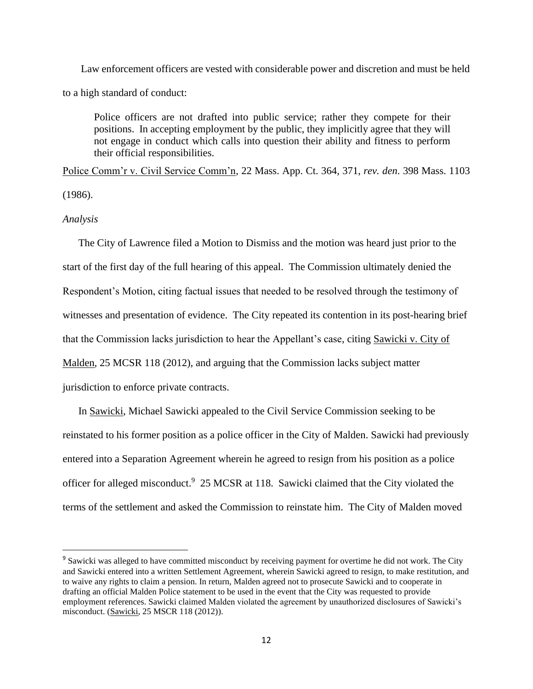Law enforcement officers are vested with considerable power and discretion and must be held to a high standard of conduct:

Police officers are not drafted into public service; rather they compete for their positions. In accepting employment by the public, they implicitly agree that they will not engage in conduct which calls into question their ability and fitness to perform their official responsibilities.

Police Comm'r v. Civil Service Comm'n, 22 Mass. App. Ct. 364, 371, *rev. den*. 398 Mass. 1103 (1986).

#### *Analysis*

The City of Lawrence filed a Motion to Dismiss and the motion was heard just prior to the start of the first day of the full hearing of this appeal. The Commission ultimately denied the Respondent's Motion, citing factual issues that needed to be resolved through the testimony of witnesses and presentation of evidence. The City repeated its contention in its post-hearing brief that the Commission lacks jurisdiction to hear the Appellant's case, citing Sawicki v. City of Malden, 25 MCSR 118 (2012), and arguing that the Commission lacks subject matter jurisdiction to enforce private contracts.

In Sawicki, Michael Sawicki appealed to the Civil Service Commission seeking to be reinstated to his former position as a police officer in the City of Malden. Sawicki had previously entered into a Separation Agreement wherein he agreed to resign from his position as a police officer for alleged misconduct.<sup>9</sup> 25 MCSR at 118. Sawicki claimed that the City violated the terms of the settlement and asked the Commission to reinstate him. The City of Malden moved

<sup>&</sup>lt;sup>9</sup> Sawicki was alleged to have committed misconduct by receiving payment for overtime he did not work. The City and Sawicki entered into a written Settlement Agreement, wherein Sawicki agreed to resign, to make restitution, and to waive any rights to claim a pension. In return, Malden agreed not to prosecute Sawicki and to cooperate in drafting an official Malden Police statement to be used in the event that the City was requested to provide employment references. Sawicki claimed Malden violated the agreement by unauthorized disclosures of Sawicki's misconduct. (Sawicki, 25 MSCR 118 (2012)).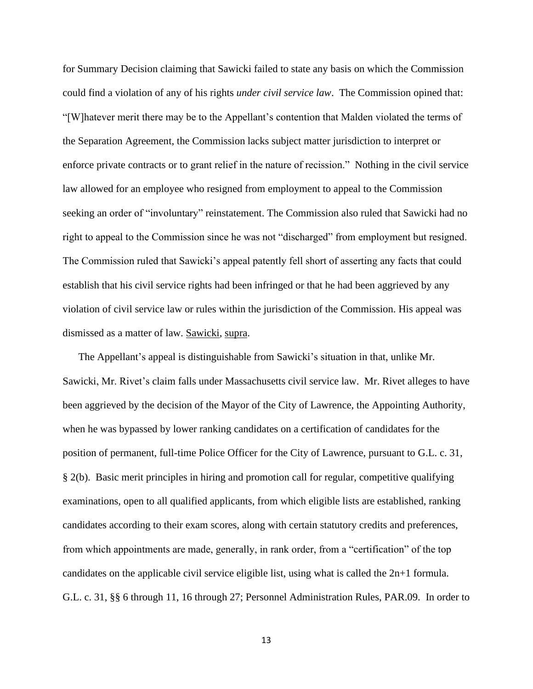for Summary Decision claiming that Sawicki failed to state any basis on which the Commission could find a violation of any of his rights *under civil service law*. The Commission opined that: "[W]hatever merit there may be to the Appellant's contention that Malden violated the terms of the Separation Agreement, the Commission lacks subject matter jurisdiction to interpret or enforce private contracts or to grant relief in the nature of recission." Nothing in the civil service law allowed for an employee who resigned from employment to appeal to the Commission seeking an order of "involuntary" reinstatement. The Commission also ruled that Sawicki had no right to appeal to the Commission since he was not "discharged" from employment but resigned. The Commission ruled that Sawicki's appeal patently fell short of asserting any facts that could establish that his civil service rights had been infringed or that he had been aggrieved by any violation of civil service law or rules within the jurisdiction of the Commission. His appeal was dismissed as a matter of law. Sawicki, supra.

The Appellant's appeal is distinguishable from Sawicki's situation in that, unlike Mr. Sawicki, Mr. Rivet's claim falls under Massachusetts civil service law. Mr. Rivet alleges to have been aggrieved by the decision of the Mayor of the City of Lawrence, the Appointing Authority, when he was bypassed by lower ranking candidates on a certification of candidates for the position of permanent, full-time Police Officer for the City of Lawrence, pursuant to G.L. c. 31, § 2(b). Basic merit principles in hiring and promotion call for regular, competitive qualifying examinations, open to all qualified applicants, from which eligible lists are established, ranking candidates according to their exam scores, along with certain statutory credits and preferences, from which appointments are made, generally, in rank order, from a "certification" of the top candidates on the applicable civil service eligible list, using what is called the 2n+1 formula. G.L. c. 31, §§ 6 through 11, 16 through 27; Personnel Administration Rules, PAR.09. In order to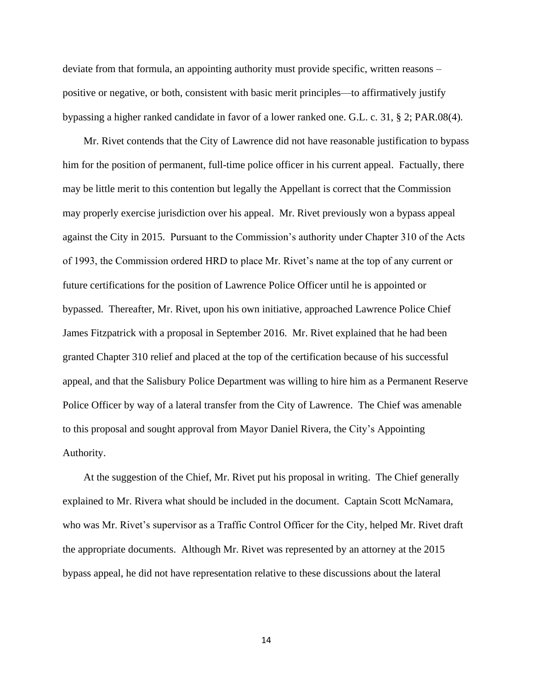deviate from that formula, an appointing authority must provide specific, written reasons – positive or negative, or both, consistent with basic merit principles—to affirmatively justify bypassing a higher ranked candidate in favor of a lower ranked one. G.L. c. 31, § 2; PAR.08(4).

 Mr. Rivet contends that the City of Lawrence did not have reasonable justification to bypass him for the position of permanent, full-time police officer in his current appeal. Factually, there may be little merit to this contention but legally the Appellant is correct that the Commission may properly exercise jurisdiction over his appeal. Mr. Rivet previously won a bypass appeal against the City in 2015. Pursuant to the Commission's authority under Chapter 310 of the Acts of 1993, the Commission ordered HRD to place Mr. Rivet's name at the top of any current or future certifications for the position of Lawrence Police Officer until he is appointed or bypassed. Thereafter, Mr. Rivet, upon his own initiative, approached Lawrence Police Chief James Fitzpatrick with a proposal in September 2016. Mr. Rivet explained that he had been granted Chapter 310 relief and placed at the top of the certification because of his successful appeal, and that the Salisbury Police Department was willing to hire him as a Permanent Reserve Police Officer by way of a lateral transfer from the City of Lawrence. The Chief was amenable to this proposal and sought approval from Mayor Daniel Rivera, the City's Appointing Authority.

 At the suggestion of the Chief, Mr. Rivet put his proposal in writing. The Chief generally explained to Mr. Rivera what should be included in the document. Captain Scott McNamara, who was Mr. Rivet's supervisor as a Traffic Control Officer for the City, helped Mr. Rivet draft the appropriate documents. Although Mr. Rivet was represented by an attorney at the 2015 bypass appeal, he did not have representation relative to these discussions about the lateral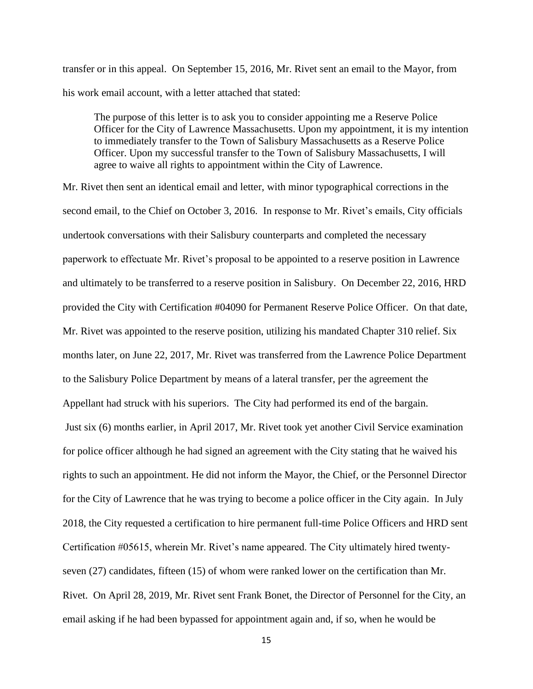transfer or in this appeal. On September 15, 2016, Mr. Rivet sent an email to the Mayor, from his work email account, with a letter attached that stated:

The purpose of this letter is to ask you to consider appointing me a Reserve Police Officer for the City of Lawrence Massachusetts. Upon my appointment, it is my intention to immediately transfer to the Town of Salisbury Massachusetts as a Reserve Police Officer. Upon my successful transfer to the Town of Salisbury Massachusetts, I will agree to waive all rights to appointment within the City of Lawrence.

Mr. Rivet then sent an identical email and letter, with minor typographical corrections in the second email, to the Chief on October 3, 2016. In response to Mr. Rivet's emails, City officials undertook conversations with their Salisbury counterparts and completed the necessary paperwork to effectuate Mr. Rivet's proposal to be appointed to a reserve position in Lawrence and ultimately to be transferred to a reserve position in Salisbury. On December 22, 2016, HRD provided the City with Certification #04090 for Permanent Reserve Police Officer. On that date, Mr. Rivet was appointed to the reserve position, utilizing his mandated Chapter 310 relief. Six months later, on June 22, 2017, Mr. Rivet was transferred from the Lawrence Police Department to the Salisbury Police Department by means of a lateral transfer, per the agreement the Appellant had struck with his superiors. The City had performed its end of the bargain. Just six (6) months earlier, in April 2017, Mr. Rivet took yet another Civil Service examination for police officer although he had signed an agreement with the City stating that he waived his rights to such an appointment. He did not inform the Mayor, the Chief, or the Personnel Director for the City of Lawrence that he was trying to become a police officer in the City again. In July 2018, the City requested a certification to hire permanent full-time Police Officers and HRD sent Certification #05615, wherein Mr. Rivet's name appeared. The City ultimately hired twentyseven (27) candidates, fifteen (15) of whom were ranked lower on the certification than Mr. Rivet. On April 28, 2019, Mr. Rivet sent Frank Bonet, the Director of Personnel for the City, an email asking if he had been bypassed for appointment again and, if so, when he would be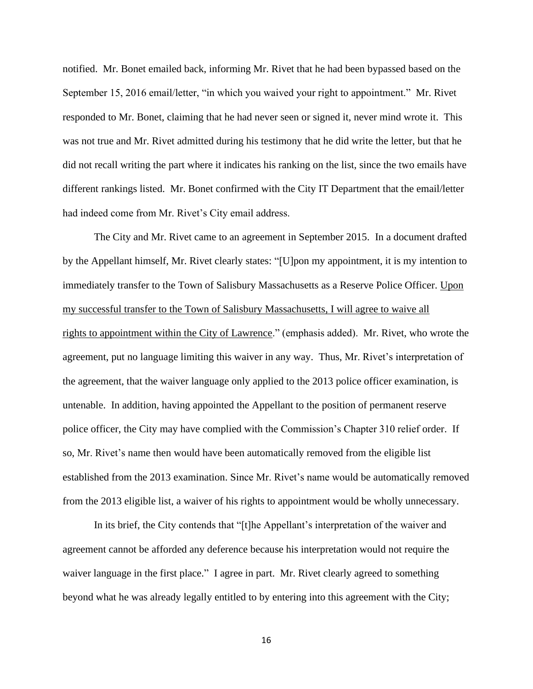notified. Mr. Bonet emailed back, informing Mr. Rivet that he had been bypassed based on the September 15, 2016 email/letter, "in which you waived your right to appointment." Mr. Rivet responded to Mr. Bonet, claiming that he had never seen or signed it, never mind wrote it. This was not true and Mr. Rivet admitted during his testimony that he did write the letter, but that he did not recall writing the part where it indicates his ranking on the list, since the two emails have different rankings listed. Mr. Bonet confirmed with the City IT Department that the email/letter had indeed come from Mr. Rivet's City email address.

The City and Mr. Rivet came to an agreement in September 2015. In a document drafted by the Appellant himself, Mr. Rivet clearly states: "[U]pon my appointment, it is my intention to immediately transfer to the Town of Salisbury Massachusetts as a Reserve Police Officer. Upon my successful transfer to the Town of Salisbury Massachusetts, I will agree to waive all rights to appointment within the City of Lawrence." (emphasis added). Mr. Rivet, who wrote the agreement, put no language limiting this waiver in any way. Thus, Mr. Rivet's interpretation of the agreement, that the waiver language only applied to the 2013 police officer examination, is untenable. In addition, having appointed the Appellant to the position of permanent reserve police officer, the City may have complied with the Commission's Chapter 310 relief order. If so, Mr. Rivet's name then would have been automatically removed from the eligible list established from the 2013 examination. Since Mr. Rivet's name would be automatically removed from the 2013 eligible list, a waiver of his rights to appointment would be wholly unnecessary.

In its brief, the City contends that "[t]he Appellant's interpretation of the waiver and agreement cannot be afforded any deference because his interpretation would not require the waiver language in the first place." I agree in part. Mr. Rivet clearly agreed to something beyond what he was already legally entitled to by entering into this agreement with the City;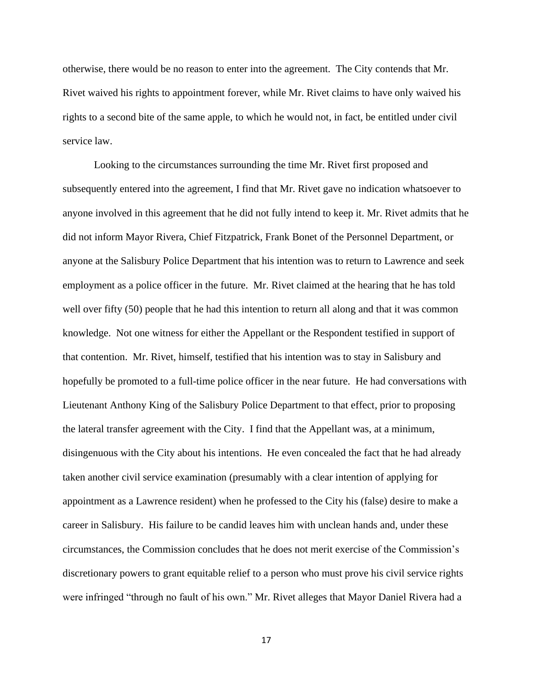otherwise, there would be no reason to enter into the agreement. The City contends that Mr. Rivet waived his rights to appointment forever, while Mr. Rivet claims to have only waived his rights to a second bite of the same apple, to which he would not, in fact, be entitled under civil service law.

Looking to the circumstances surrounding the time Mr. Rivet first proposed and subsequently entered into the agreement, I find that Mr. Rivet gave no indication whatsoever to anyone involved in this agreement that he did not fully intend to keep it. Mr. Rivet admits that he did not inform Mayor Rivera, Chief Fitzpatrick, Frank Bonet of the Personnel Department, or anyone at the Salisbury Police Department that his intention was to return to Lawrence and seek employment as a police officer in the future. Mr. Rivet claimed at the hearing that he has told well over fifty (50) people that he had this intention to return all along and that it was common knowledge. Not one witness for either the Appellant or the Respondent testified in support of that contention. Mr. Rivet, himself, testified that his intention was to stay in Salisbury and hopefully be promoted to a full-time police officer in the near future. He had conversations with Lieutenant Anthony King of the Salisbury Police Department to that effect, prior to proposing the lateral transfer agreement with the City. I find that the Appellant was, at a minimum, disingenuous with the City about his intentions. He even concealed the fact that he had already taken another civil service examination (presumably with a clear intention of applying for appointment as a Lawrence resident) when he professed to the City his (false) desire to make a career in Salisbury. His failure to be candid leaves him with unclean hands and, under these circumstances, the Commission concludes that he does not merit exercise of the Commission's discretionary powers to grant equitable relief to a person who must prove his civil service rights were infringed "through no fault of his own." Mr. Rivet alleges that Mayor Daniel Rivera had a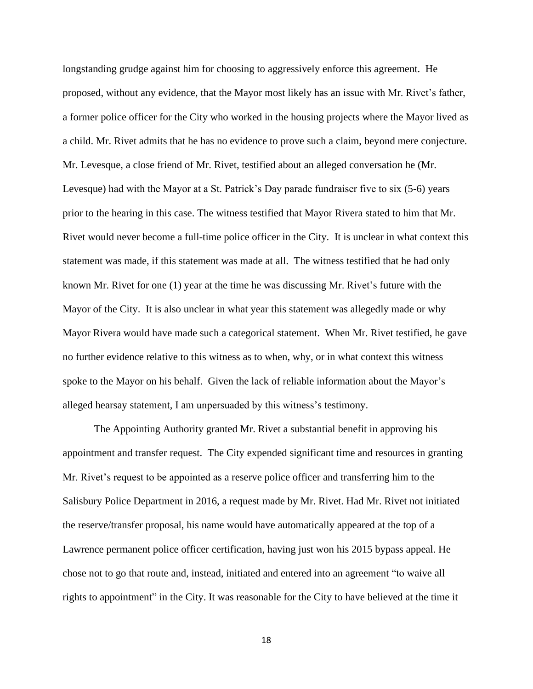longstanding grudge against him for choosing to aggressively enforce this agreement. He proposed, without any evidence, that the Mayor most likely has an issue with Mr. Rivet's father, a former police officer for the City who worked in the housing projects where the Mayor lived as a child. Mr. Rivet admits that he has no evidence to prove such a claim, beyond mere conjecture. Mr. Levesque, a close friend of Mr. Rivet, testified about an alleged conversation he (Mr. Levesque) had with the Mayor at a St. Patrick's Day parade fundraiser five to six (5-6) years prior to the hearing in this case. The witness testified that Mayor Rivera stated to him that Mr. Rivet would never become a full-time police officer in the City. It is unclear in what context this statement was made, if this statement was made at all. The witness testified that he had only known Mr. Rivet for one (1) year at the time he was discussing Mr. Rivet's future with the Mayor of the City. It is also unclear in what year this statement was allegedly made or why Mayor Rivera would have made such a categorical statement. When Mr. Rivet testified, he gave no further evidence relative to this witness as to when, why, or in what context this witness spoke to the Mayor on his behalf. Given the lack of reliable information about the Mayor's alleged hearsay statement, I am unpersuaded by this witness's testimony.

The Appointing Authority granted Mr. Rivet a substantial benefit in approving his appointment and transfer request. The City expended significant time and resources in granting Mr. Rivet's request to be appointed as a reserve police officer and transferring him to the Salisbury Police Department in 2016, a request made by Mr. Rivet. Had Mr. Rivet not initiated the reserve/transfer proposal, his name would have automatically appeared at the top of a Lawrence permanent police officer certification, having just won his 2015 bypass appeal. He chose not to go that route and, instead, initiated and entered into an agreement "to waive all rights to appointment" in the City. It was reasonable for the City to have believed at the time it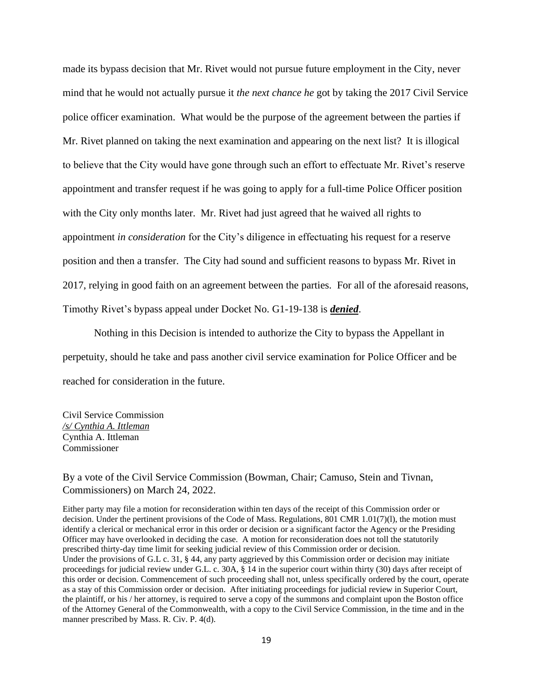made its bypass decision that Mr. Rivet would not pursue future employment in the City, never mind that he would not actually pursue it *the next chance he* got by taking the 2017 Civil Service police officer examination. What would be the purpose of the agreement between the parties if Mr. Rivet planned on taking the next examination and appearing on the next list? It is illogical to believe that the City would have gone through such an effort to effectuate Mr. Rivet's reserve appointment and transfer request if he was going to apply for a full-time Police Officer position with the City only months later. Mr. Rivet had just agreed that he waived all rights to appointment *in consideration* for the City's diligence in effectuating his request for a reserve position and then a transfer. The City had sound and sufficient reasons to bypass Mr. Rivet in 2017, relying in good faith on an agreement between the parties. For all of the aforesaid reasons, Timothy Rivet's bypass appeal under Docket No. G1-19-138 is *denied*.

Nothing in this Decision is intended to authorize the City to bypass the Appellant in perpetuity, should he take and pass another civil service examination for Police Officer and be reached for consideration in the future.

Civil Service Commission */s/ Cynthia A. Ittleman* Cynthia A. Ittleman Commissioner

By a vote of the Civil Service Commission (Bowman, Chair; Camuso, Stein and Tivnan, Commissioners) on March 24, 2022.

Either party may file a motion for reconsideration within ten days of the receipt of this Commission order or decision. Under the pertinent provisions of the Code of Mass. Regulations, 801 CMR 1.01(7)(l), the motion must identify a clerical or mechanical error in this order or decision or a significant factor the Agency or the Presiding Officer may have overlooked in deciding the case. A motion for reconsideration does not toll the statutorily prescribed thirty-day time limit for seeking judicial review of this Commission order or decision. Under the provisions of G.L c. 31, § 44, any party aggrieved by this Commission order or decision may initiate proceedings for judicial review under G.L. c. 30A, § 14 in the superior court within thirty (30) days after receipt of this order or decision. Commencement of such proceeding shall not, unless specifically ordered by the court, operate as a stay of this Commission order or decision. After initiating proceedings for judicial review in Superior Court, the plaintiff, or his / her attorney, is required to serve a copy of the summons and complaint upon the Boston office of the Attorney General of the Commonwealth, with a copy to the Civil Service Commission, in the time and in the manner prescribed by Mass. R. Civ. P. 4(d).